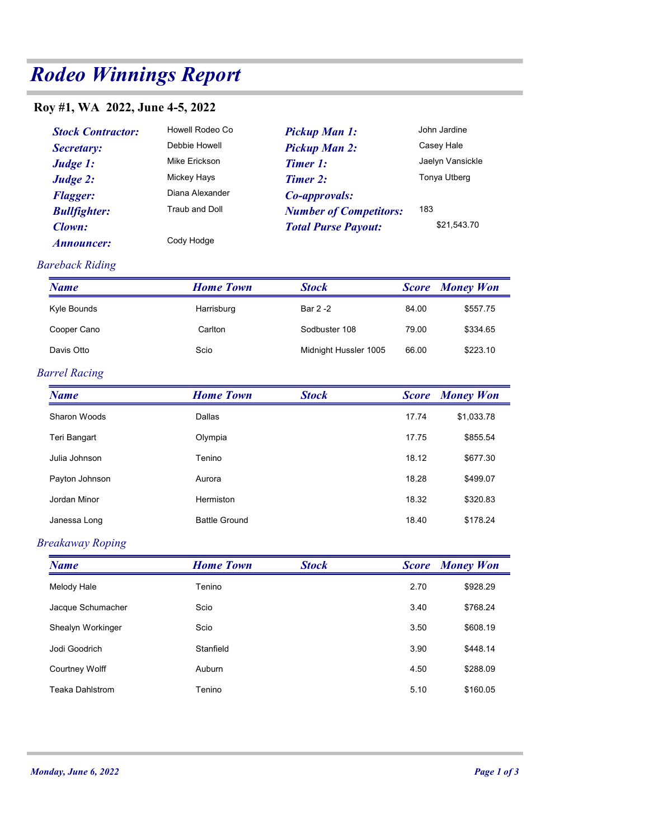# Rodeo Winnings Report

## Roy #1, WA 2022, June 4-5, 2022

| odeo Winnings Report           |                  |                               |              |                        |  |  |
|--------------------------------|------------------|-------------------------------|--------------|------------------------|--|--|
| by #1, WA 2022, June 4-5, 2022 |                  |                               |              |                        |  |  |
| <b>Stock Contractor:</b>       | Howell Rodeo Co  | <b>Pickup Man 1:</b>          |              | John Jardine           |  |  |
| Secretary:                     | Debbie Howell    | <b>Pickup Man 2:</b>          |              | Casey Hale             |  |  |
| Judge 1:                       | Mike Erickson    | <b>Timer 1:</b>               |              | Jaelyn Vansickle       |  |  |
| Judge 2:                       | Mickey Hays      | <b>Timer 2:</b>               |              | Tonya Utberg           |  |  |
| <b>Flagger:</b>                | Diana Alexander  | Co-approvals:                 |              |                        |  |  |
| <b>Bullfighter:</b>            | Traub and Doll   | <b>Number of Competitors:</b> | 183          |                        |  |  |
| Clown:                         |                  | <b>Total Purse Payout:</b>    |              | \$21,543.70            |  |  |
| <b>Announcer:</b>              | Cody Hodge       |                               |              |                        |  |  |
| areback Riding                 |                  |                               |              |                        |  |  |
| <b>Name</b>                    | <b>Home Town</b> | <b>Stock</b>                  |              | <b>Score Money Won</b> |  |  |
| Kyle Bounds                    | Harrisburg       | Bar 2 -2                      | 84.00        | \$557.75               |  |  |
| Cooper Cano                    | Carlton          | Sodbuster 108                 | 79.00        | \$334.65               |  |  |
| Davis Otto                     | Scio             | Midnight Hussler 1005         | 66.00        | \$223.10               |  |  |
| arrel Racing                   |                  |                               |              |                        |  |  |
| <b>Name</b>                    | <b>Home Town</b> | <b>Stock</b>                  | <b>Score</b> | <b>Money Won</b>       |  |  |
| Sharon Woods                   | Dallas           |                               | 17.74        | \$1,033.78             |  |  |
| Teri Bangart                   | Olympia          |                               | 17.75        | \$855.54               |  |  |
| Julia Johnson                  | Tenino           |                               | 18.12        | \$677.30               |  |  |

#### Bareback Riding

| <b>Name</b> | <b>Home Town</b> | <b>Stock</b>          |       | <b>Score</b> Money Won |
|-------------|------------------|-----------------------|-------|------------------------|
| Kyle Bounds | Harrisburg       | Bar 2 -2              | 84.00 | \$557.75               |
| Cooper Cano | Carlton          | Sodbuster 108         | 79.00 | \$334.65               |
| Davis Otto  | Scio             | Midnight Hussler 1005 | 66.00 | \$223.10               |

#### Barrel Racing

| Secretary:                  | Debbie Howell         | <b>Pickup Man 2:</b>          |              | Casey Hale             |
|-----------------------------|-----------------------|-------------------------------|--------------|------------------------|
| Judge 1:                    | Mike Erickson         | <b>Timer 1:</b>               |              | Jaelyn Vansickle       |
| Judge 2:                    | Mickey Hays           | Timer 2:                      |              | Tonya Utberg           |
| <b>Flagger:</b>             | Diana Alexander       | Co-approvals:                 |              |                        |
| <b>Bullfighter:</b>         | <b>Traub and Doll</b> | <b>Number of Competitors:</b> | 183          | \$21,543.70            |
| Clown:<br><b>Announcer:</b> | Cody Hodge            | <b>Total Purse Payout:</b>    |              |                        |
|                             |                       |                               |              |                        |
| areback Riding              |                       |                               |              |                        |
| <b>Name</b>                 | <b>Home Town</b>      | <b>Stock</b>                  |              | <b>Score</b> Money Won |
| Kyle Bounds                 | Harrisburg            | Bar 2 -2                      | 84.00        | \$557.75               |
| Cooper Cano                 | Carlton               | Sodbuster 108                 | 79.00        | \$334.65               |
| Davis Otto                  | Scio                  | Midnight Hussler 1005         | 66.00        | \$223.10               |
| arrel Racing                |                       |                               |              |                        |
| <b>Name</b>                 | <b>Home Town</b>      | <b>Stock</b>                  | <b>Score</b> | <b>Money Won</b>       |
| <b>Sharon Woods</b>         | Dallas                |                               | 17.74        | \$1,033.78             |
| Teri Bangart                | Olympia               |                               | 17.75        | \$855.54               |
| Julia Johnson               | Tenino                |                               | 18.12        | \$677.30               |
| Payton Johnson              | Aurora                |                               | 18.28        | \$499.07               |
| Jordan Minor                | Hermiston             |                               | 18.32        | \$320.83               |
| Janessa Long                | <b>Battle Ground</b>  |                               | 18.40        | \$178.24               |
| reakaway Roping             |                       |                               |              |                        |
| <b>Name</b>                 | <b>Home Town</b>      | <b>Stock</b>                  |              | <b>Score</b> Money Won |
| Melody Hale                 | Tenino                |                               | 2.70         | \$928.29               |
| Jacque Schumacher           | Scio                  |                               | 3.40         | \$768.24               |
| Shealyn Workinger           | Scio                  |                               | 3.50         | \$608.19               |
| Jodi Goodrich               | Stanfield             |                               | 3.90         | \$448.14               |
| Courtney Wolff              | Auburn                |                               | 4.50         | \$288.09               |
| Teaka Dahlstrom             | Tenino                |                               | 5.10         | \$160.05               |

#### Breakaway Roping

| <b>Barrel Racing</b>    |                      |              |              |                        |
|-------------------------|----------------------|--------------|--------------|------------------------|
| <b>Name</b>             | <b>Home Town</b>     | <b>Stock</b> |              | <b>Score</b> Money Won |
| Sharon Woods            | Dallas               |              | 17.74        | \$1,033.78             |
| Teri Bangart            | Olympia              |              | 17.75        | \$855.54               |
| Julia Johnson           | Tenino               |              | 18.12        | \$677.30               |
| Payton Johnson          | Aurora               |              | 18.28        | \$499.07               |
| Jordan Minor            | Hermiston            |              | 18.32        | \$320.83               |
| Janessa Long            | <b>Battle Ground</b> |              | 18.40        | \$178.24               |
| <b>Breakaway Roping</b> |                      |              |              |                        |
| <b>Name</b>             | <b>Home Town</b>     | <b>Stock</b> | <b>Score</b> | <b>Money Won</b>       |
| Melody Hale             | Tenino               |              | 2.70         | \$928.29               |
| Jacque Schumacher       | Scio                 |              | 3.40         | \$768.24               |
| Shealyn Workinger       | Scio                 |              | 3.50         | \$608.19               |
| Jodi Goodrich           | Stanfield            |              | 3.90         | \$448.14               |
| <b>Courtney Wolff</b>   | Auburn               |              | 4.50         | \$288.09               |
| Teaka Dahlstrom         | Tenino               |              | 5.10         | \$160.05               |
|                         |                      |              |              |                        |
|                         |                      |              |              |                        |
|                         |                      |              |              |                        |
| Monday, June 6, 2022    |                      |              |              | Page 1 of 3            |
|                         |                      |              |              |                        |
|                         |                      |              |              |                        |
|                         |                      |              |              |                        |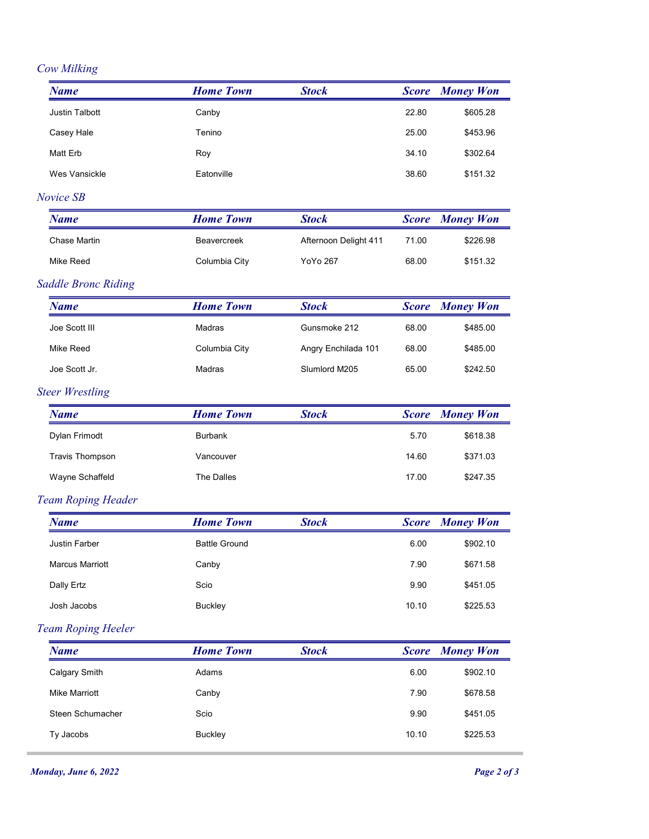### Cow Milking

| <b>Cow Milking</b>            | <b>Home Town</b>     |                       |                       | <b>Money Won</b>       |
|-------------------------------|----------------------|-----------------------|-----------------------|------------------------|
| <b>Name</b><br>Justin Talbott | Canby                | <b>Stock</b>          | <b>Score</b><br>22.80 | \$605.28               |
| Casey Hale                    | Tenino               |                       | 25.00                 | \$453.96               |
| Matt Erb                      | Roy                  |                       | 34.10                 | \$302.64               |
| Wes Vansickle                 | Eatonville           |                       | 38.60                 | \$151.32               |
| Novice SB                     |                      |                       |                       |                        |
| <b>Name</b>                   | <b>Home Town</b>     | <b>Stock</b>          | <b>Score</b>          | <b>Money Won</b>       |
| Chase Martin                  | Beavercreek          | Afternoon Delight 411 | 71.00                 | \$226.98               |
| Mike Reed                     | Columbia City        | YoYo 267              | 68.00                 | \$151.32               |
| <b>Saddle Bronc Riding</b>    |                      |                       |                       |                        |
| <b>Name</b>                   | <b>Home Town</b>     | <b>Stock</b>          | <b>Score</b>          | <b>Money Won</b>       |
| Joe Scott III                 | Madras               | Gunsmoke 212          | 68.00                 | \$485.00               |
| Mike Reed                     | Columbia City        | Angry Enchilada 101   | 68.00                 | \$485.00               |
| Joe Scott Jr.                 | Madras               | Slumlord M205         | 65.00                 | \$242.50               |
| <b>Steer Wrestling</b>        |                      |                       |                       |                        |
| <b>Name</b>                   | <b>Home Town</b>     | <b>Stock</b>          |                       | <b>Score</b> Money Won |
| Dylan Frimodt                 | Burbank              |                       | 5.70                  | \$618.38               |
| <b>Travis Thompson</b>        | Vancouver            |                       | 14.60                 | \$371.03               |
| Wayne Schaffeld               | The Dalles           |                       | 17.00                 | \$247.35               |
| Team Roping Header            |                      |                       |                       |                        |
| <b>Name</b>                   | <b>Home Town</b>     | <b>Stock</b>          | <b>Score</b>          | <b>Money Won</b>       |
| Justin Farber                 | <b>Battle Ground</b> |                       | 6.00                  | \$902.10               |
| <b>Marcus Marriott</b>        | Canby                |                       | 7.90                  | \$671.58               |
| Dally Ertz                    | Scio                 |                       | 9.90                  | \$451.05               |
| Josh Jacobs                   | <b>Buckley</b>       |                       | 10.10                 | \$225.53               |
| Team Roping Heeler            |                      |                       |                       |                        |
| <b>Name</b>                   | <b>Home Town</b>     | <b>Stock</b>          | <b>Score</b>          | <b>Money Won</b>       |
| <b>Calgary Smith</b>          | Adams                |                       | 6.00                  | \$902.10               |
| <b>Mike Marriott</b>          | Canby                |                       | 7.90                  | \$678.58               |
| Steen Schumacher              | Scio                 |                       | 9.90                  | \$451.05               |
| Ty Jacobs                     | <b>Buckley</b>       |                       | 10.10                 | \$225.53               |
| <b>Monday, June 6, 2022</b>   |                      |                       |                       |                        |